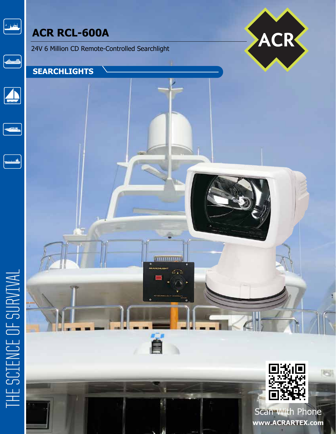# الشرارية

# **ACR RCL-600A**

24V 6 Million CD Remote-Controlled Searchlight

## **SEARCHLIGHTS**



 $\begin{array}{|c|} \hline \hline \hline \hline \end{array}$ 





# THE SCIENCE OF SURVIVAL



Scan With Phone **www.ACRARTEX.com**